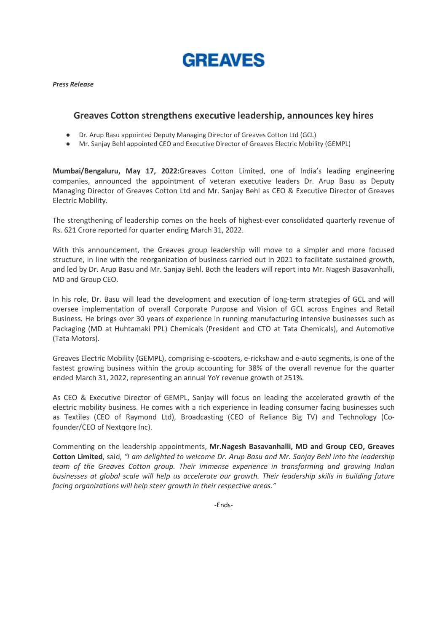**GREAVES** 

Press Release

# Greaves Cotton strengthens executive leadership, announces key hires Greaves Cotton strengthens executive leadership, announces key hires

- Dr. Arup Basu appointed Deputy Managing Director of Greaves Cotton Ltd (GCL) Dr. Arup Basu appointed Deputy Managing Director of Greaves Cotton Ltd (GCL)
- Dr. Arup Basu appointed Deputy Managing Director of Greaves Cotton Ltd (GCL)<br>● Mr. Sanjay Behl appointed CEO and Executive Director of Greaves Electric Mobility (GEMPL)

Mumbai/Bengaluru, May 17, 2022:Greaves Cotton Limited, one of India's leading engineering companies, announced the appointment of veteran executive leaders Dr. Arup Basu as Deputy companies, announced the appointment of veteran executive leaders Dr. Arup Basu as Deputy Managing Director of Greaves Cotton Ltd and Mr. Sanjay Behl as CEO & Executi Electric Mobility. companies, announced the appointment of veteran executive leaders Dr. Arup Basu as Deputy<br>Managing Director of Greaves Cotton Ltd and Mr. Sanjay Behl as CEO & Executive Director of Greaves<br>Electric Mobility.<br>The strengthen Managing Director of Greaves Cotton Ltd and Mr. Sanjay Behl as CEO & Executive Director of Greaves

The strengthening of leadership comes on the heels of highest-ever consolidated quarterly revenue of Rs. 621 Crore reported for quarter ending March 31, 2022.

Rs. 621 Crore reported for quarter ending March 31, 2022.<br>With this announcement, the Greaves group leadership will move to a simpler and more focused structure, in line with the reorganization of business carried out in 2021 to facilitate sustained growth, structure, in line with the reorganization of business carried out in 2021 to facilitate sustained growth, and led by Dr. Arup Basu and Mr. Sanjay Behl. Both the leaders will report into Mr. Nagesh Basavan and led by Dr. Arup Basu and Mr. Sanjay Behl. Both the leaders will report into Mr. Nagesh Basavanhalli, MD and Group CEO. and led by Dr. Arup Basu and Mr. Sanjay Behl. Both the leaders will report into Mr. Nagesh Basavanhalli,<br>MD and Group CEO.<br>In his role, Dr. Basu will lead the development and execution of long-term strategies of GCL and wi

oversee implementation of overall Corporate Purpose and Vision of GCL across Engines and Retail oversee implementation of overall Corporate Purpose and Vision of GCL across Engines and Retail oversee implementation of overall Corporate Purpose and Vision of GCL across Engines and Retail<br>Business. He brings over 30 years of experience in running manufacturing intensive businesses such as Packaging (MD at Huhtamaki PPL) Chemicals (President and CTO at Tata Chemicals), and Automotive<br>(Tata Motors).<br>Greaves Electric Mobility (GEMPL), comprising e-scooters, e-rickshaw and e-auto segments, is one of the (Tata Motors).

Greaves Electric Mobility (GEMPL), comprising e-scooters, e-rickshaw and e-auto segments, is one of the fastest growing business within the group accounting for 38% of the overall revenue for the quarter fastest growing business within the group accounting for 38% of the overall revenue for the quarter ended March 31, 2022, representing an annual YoY revenue growth of 251%. fastest growing business within the group accounting for 38% of the overall revenue for the quarter<br>ended March 31, 2022, representing an annual YoY revenue growth of 251%.<br>As CEO & Executive Director of GEMPL, Sanjay will

electric mobility business. He comes with a rich experience in leading consumer facing businesses such<br>as Textiles (CEO of Raymond Ltd), Broadcasting (CEO of Reliance Big TV) and Technology (Coas Textiles (CEO of Raymond Ltd), Broadcasting (CEO of Reliance Big TV) and Technology (Co as Textiles (CEO of Raymond Ltd), Broadcasting (CEO of Reliance Big TV) and Technology (Co founder/CEO of Nextqore Inc).

Commenting on the leadership appointments, Mr.Nagesh Basavanhalli, MD and Group CEO, Greaves Cotton Limited, said, "I am delighted to welcome Dr. Arup Basu and Mr. Sanjay Behl into the leadership **Cotton Limited**, said, "I am delighted to welcome Dr. Arup Basu and Mr. Sanjay Behl into the leadership<br>team of the Greaves Cotton group. Their immense experience in transforming and growing Indian businesses at global scale will help us accelerate our growth. Their leadership skills in building future<br>facing organizations will help steer growth in their respective areas." facing organizations will help steer growth in their respective areas."

-Ends-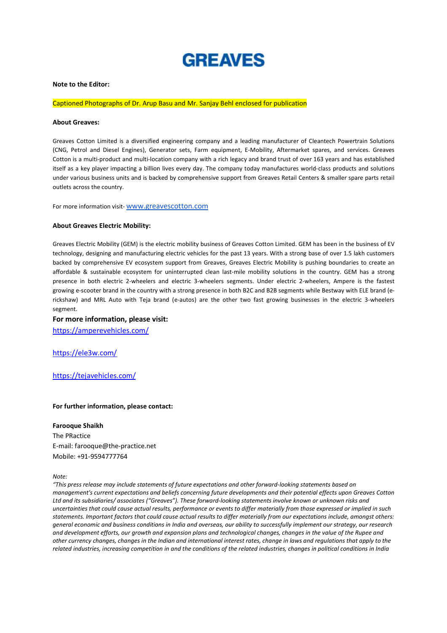# **GREAVES**

#### Note to the Editor:

## Captioned Photographs of Dr. Arup Basu and Mr. Sanjay Behl enclosed for publication

#### About Greaves:

Greaves Cotton Limited is a diversified engineering company and a leading manufacturer of Cleantech Powertrain Solutions Greaves Cotton Limited is a diversified engineering company and a leading manufacturer of Cleantech Powertrain Solutions<br>(CNG, Petrol and Diesel Engines), Generator sets, Farm equipment, E-Mobility, Aftermarket spares, and Cotton is a multi-product and multi-location company with a rich legacy and brand trust of over 163 years and has established itself as a key player impacting a billion lives every day. The company today manufactures world-class products and solutions under various business units and is backed by comprehensive support from Greaves Retail Centers & smaller spare parts retail outlets across the country.

For more information visit- www.greavescotton.com

#### About Greaves Electric Mobility:

Greaves Electric Mobility (GEM) is the electric mobility business of Greaves Cotton Limited. GEM has been in the business of EV technology, designing and manufacturing electric vehicles for the past 13 years. With a strong base of over 1.5 lakh customers backed by comprehensive EV ecosystem support from Greaves, Greaves Electric Mobility is pushing boundaries to create an affordable & sustainable ecosystem for uninterrupted clean last-mile mobility solutions in the country. GEM has a strong presence in both electric 2-wheelers and electric 3-wheelers segments. Under electric 2-wheelers, Ampere is the fastest growing e-scooter brand in the country with a strong presence in both B2C and B2B segments while Bestway with ELE brand (egrowing e-scooter brand in the country with a strong presence in both B2C and B2B segments while Bestway with ELE brand (e-<br>rickshaw) and MRL Auto with Teja brand (e-autos) are the other two fast growing businesses in the segment. Cotton is a multi-product and multi-location company with a rich legacy and brand trust of over 163 years and has established<br>tself as a key player impacting a billion lives every day. The company today manufactures world-Greave Cotton United is a diversified engineering company of a leading manufacture of Cleantech Powertrain stations<br>CONFIRM and the stations of the black of company and a leading company and conditions and conditions and t

### For more information, please visit:

https://amperevehicles.com/

https://ele3w.com/

https://tejavehicles.com/

# For further information, please contact: For further

#### Farooque Shaikh

The PRactice E-mail: farooque@the-practice.net Mobile: +91-9594777764

Note:

"This press release may include statements of future expectations and other forward-looking statements based on management's current expectations and beliefs concerning future developments and their potential effects upon Greaves Cotton Ltd and its subsidiaries/ associates ("Greaves"). These forward-looking statements involve known or unknown risks and uncertainties that could cause actual results, performance or events to differ materially from those expressed or implied in such statements. Important factors that could cause actual results to differ materially from our expectations include, amongst oth statements. Important factors that could cause actual results to differ materially from our expectations include, amongst others:<br>general economic and business conditions in India and overseas, our ability to successfully and development efforts, our growth and expansion plans and technological changes, changes in the value of the Rupee and and development efforts, our growth and expansion plans and technological changes, changes in the value of the Rupee and<br>other currency changes, changes in the Indian and international interest rates, change in laws and re related industries, increasing competition in and the conditions of the related industries, changes in political conditions in India